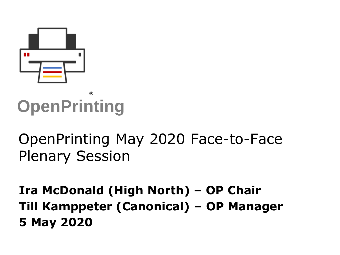

### **OpenPrinting** ®

# OpenPrinting May 2020 Face-to-Face Plenary Session

**Ira McDonald (High North) – OP Chair Till Kamppeter (Canonical) – OP Manager 5 May 2020**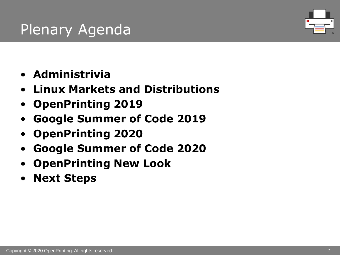# Plenary Agenda



- **Administrivia**
- **Linux Markets and Distributions**
- **OpenPrinting 2019**
- **Google Summer of Code 2019**
- **OpenPrinting 2020**
- **Google Summer of Code 2020**
- **OpenPrinting New Look**
- **Next Steps**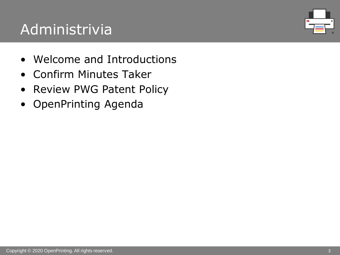# Administrivia

- Welcome and Introductions
- Confirm Minutes Taker
- Review PWG Patent Policy
- OpenPrinting Agenda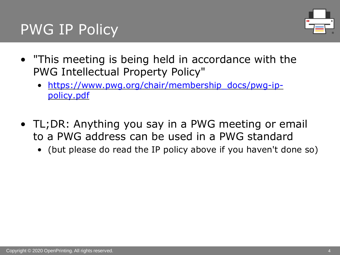### PWG IP Policy



- "This meeting is being held in accordance with the PWG Intellectual Property Policy"
	- [https://www.pwg.org/chair/membership\\_docs/pwg-ip](https://www.pwg.org/chair/membership_docs/pwg-ip-policy.pdf)policy.pdf
- TL;DR: Anything you say in a PWG meeting or email to a PWG address can be used in a PWG standard
	- (but please do read the IP policy above if you haven't done so)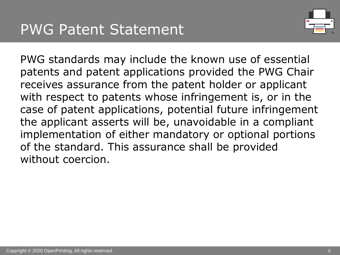

PWG standards may include the known use of essential patents and patent applications provided the PWG Chair receives assurance from the patent holder or applicant with respect to patents whose infringement is, or in the case of patent applications, potential future infringement the applicant asserts will be, unavoidable in a compliant implementation of either mandatory or optional portions of the standard. This assurance shall be provided without coercion.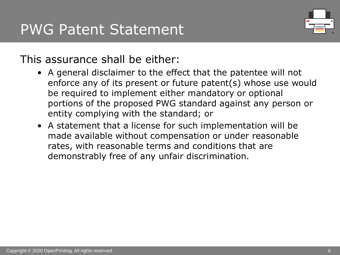

#### This assurance shall be either:

- A general disclaimer to the effect that the patentee will not enforce any of its present or future patent(s) whose use would be required to implement either mandatory or optional portions of the proposed PWG standard against any person or entity complying with the standard; or
- A statement that a license for such implementation will be made available without compensation or under reasonable rates, with reasonable terms and conditions that are demonstrably free of any unfair discrimination.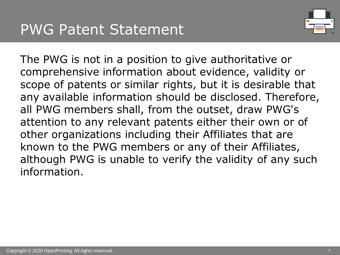

The PWG is not in a position to give authoritative or comprehensive information about evidence, validity or scope of patents or similar rights, but it is desirable that any available information should be disclosed. Therefore, all PWG members shall, from the outset, draw PWG's attention to any relevant patents either their own or of other organizations including their Affiliates that are known to the PWG members or any of their Affiliates, although PWG is unable to verify the validity of any such information.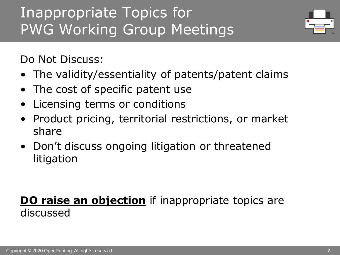# Inappropriate Topics for PWG Working Group Meetings



Do Not Discuss:

- The validity/essentiality of patents/patent claims
- The cost of specific patent use
- Licensing terms or conditions
- Product pricing, territorial restrictions, or market share
- Don't discuss ongoing litigation or threatened litigation

### **DO raise an objection** if inappropriate topics are discussed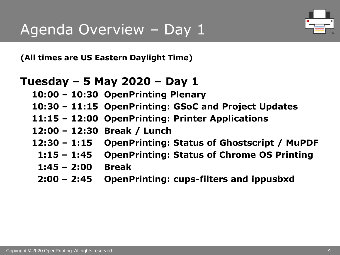

**(All times are US Eastern Daylight Time)**

#### **Tuesday – 5 May 2020 – Day 1**

- **10:00 – 10:30 OpenPrinting Plenary**
- **10:30 – 11:15 OpenPrinting: GSoC and Project Updates**
- **11:15 – 12:00 OpenPrinting: Printer Applications**
- **12:00 – 12:30 Break / Lunch**
- **12:30 – 1:15 OpenPrinting: Status of Ghostscript / MuPDF**
	- **1:15 – 1:45 OpenPrinting: Status of Chrome OS Printing**
	- **1:45 – 2:00 Break**
	- **2:00 – 2:45 OpenPrinting: cups-filters and ippusbxd**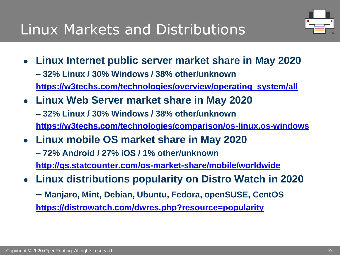

- **Linux Internet public server market share in May 2020 – 32% Linux / 30% Windows / 38% other/unknown [https://w3techs.com/technologies/overview/operating\\_system/all](https://w3techs.com/technologies/overview/operating_system/all)**
- **Linux Web Server market share in May 2020 – 32% Linux / 30% Windows / 38% other/unknown <https://w3techs.com/technologies/comparison/os-linux,os-windows>**
- **Linux mobile OS market share in May 2020** 
	- **– 72% Android / 27% iOS / 1% other/unknown <http://gs.statcounter.com/os-market-share/mobile/worldwide>**
- **Linux distributions popularity on Distro Watch in 2020**
	- **– Manjaro, Mint, Debian, Ubuntu, Fedora, openSUSE, CentOS <https://distrowatch.com/dwres.php?resource=popularity>**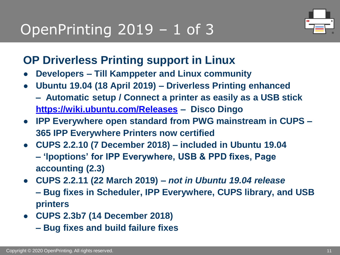# OpenPrinting 2019 – 1 of 3



### **OP Driverless Printing support in Linux**

- **Developers – Till Kamppeter and Linux community**
- **Ubuntu 19.04 (18 April 2019) – Driverless Printing enhanced**
	- **– Automatic setup / Connect a printer as easily as a USB stick <https://wiki.ubuntu.com/Releases> – Disco Dingo**
- **IPP Everywhere open standard from PWG mainstream in CUPS – 365 IPP Everywhere Printers now certified**
- **CUPS 2.2.10 (7 December 2018) – included in Ubuntu 19.04 – 'lpoptions' for IPP Everywhere, USB & PPD fixes, Page accounting (2.3)**
- **CUPS 2.2.11 (22 March 2019) –** *not in Ubuntu 19.04 release* **– Bug fixes in Scheduler, IPP Everywhere, CUPS library, and USB printers**
- **CUPS 2.3b7 (14 December 2018)**
	- **– Bug fixes and build failure fixes**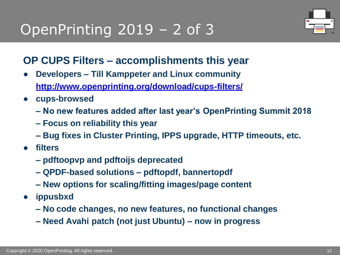# OpenPrinting 2019 – 2 of 3



#### **OP CUPS Filters – accomplishments this year**

- **Developers – Till Kamppeter and Linux community <http://www.openprinting.org/download/cups-filters/>**
- **cups-browsed**
	- **– No new features added after last year's OpenPrinting Summit 2018**
	- **– Focus on reliability this year**
	- **– Bug fixes in Cluster Printing, IPPS upgrade, HTTP timeouts, etc.**
- **filters**
	- **– pdftoopvp and pdftoijs deprecated**
	- **– QPDF-based solutions – pdftopdf, bannertopdf**
	- **– New options for scaling/fitting images/page content**
- **ippusbxd**
	- **– No code changes, no new features, no functional changes**
	- **– Need Avahi patch (not just Ubuntu) – now in progress**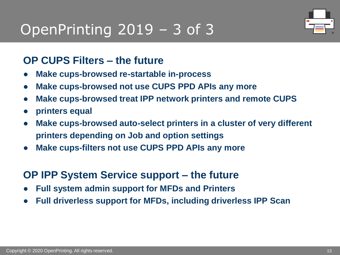### OpenPrinting 2019 – 3 of 3



#### **OP CUPS Filters – the future**

- **Make cups-browsed re-startable in-process**
- **Make cups-browsed not use CUPS PPD APIs any more**
- **Make cups-browsed treat IPP network printers and remote CUPS**
- **printers equal**
- **Make cups-browsed auto-select printers in a cluster of very different printers depending on Job and option settings**
- **Make cups-filters not use CUPS PPD APIs any more**

#### **OP IPP System Service support – the future**

- **Full system admin support for MFDs and Printers**
- **Full driverless support for MFDs, including driverless IPP Scan**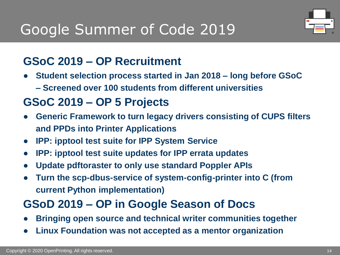# Google Summer of Code 2019



### **GSoC 2019 – OP Recruitment**

- **Student selection process started in Jan 2018 – long before GSoC**
	- **– Screened over 100 students from different universities**

### **GSoC 2019 – OP 5 Projects**

- **Generic Framework to turn legacy drivers consisting of CUPS filters and PPDs into Printer Applications**
- **IPP: ipptool test suite for IPP System Service**
- **IPP: ipptool test suite updates for IPP errata updates**
- **Update pdftoraster to only use standard Poppler APIs**
- **Turn the scp-dbus-service of system-config-printer into C (from current Python implementation)**

### **GSoD 2019 – OP in Google Season of Docs**

- **Bringing open source and technical writer communities together**
- **Linux Foundation was not accepted as a mentor organization**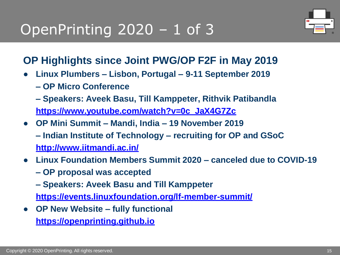# OpenPrinting 2020 – 1 of 3



#### **OP Highlights since Joint PWG/OP F2F in May 2019**

- **Linux Plumbers – Lisbon, Portugal – 9-11 September 2019**
	- **– OP Micro Conference**
	- **– Speakers: Aveek Basu, Till Kamppeter, Rithvik Patibandla [https://www.youtube.com/watch?v=0c\\_JaX4G7Zc](https://www.youtube.com/watch?v=0c_JaX4G7Zc)**
- **OP Mini Summit – Mandi, India – 19 November 2019 – Indian Institute of Technology – recruiting for OP and GSoC <http://www.iitmandi.ac.in/>**
- **Linux Foundation Members Summit 2020 – canceled due to COVID-19**
	- **– OP proposal was accepted**
	- **– Speakers: Aveek Basu and Till Kamppeter**

**<https://events.linuxfoundation.org/lf-member-summit/>**

● **OP New Website – fully functional**

**[https://openprinting.github.io](https://openprinting.github.io/)**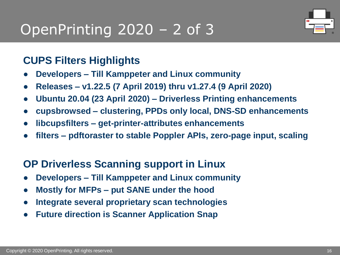# OpenPrinting 2020 – 2 of 3



#### **CUPS Filters Highlights**

- **Developers – Till Kamppeter and Linux community**
- **Releases – v1.22.5 (7 April 2019) thru v1.27.4 (9 April 2020)**
- **Ubuntu 20.04 (23 April 2020) – Driverless Printing enhancements**
- **cupsbrowsed – clustering, PPDs only local, DNS-SD enhancements**
- **libcupsfilters – get-printer-attributes enhancements**
- **filters – pdftoraster to stable Poppler APIs, zero-page input, scaling**

#### **OP Driverless Scanning support in Linux**

- **Developers – Till Kamppeter and Linux community**
- **Mostly for MFPs – put SANE under the hood**
- **Integrate several proprietary scan technologies**
- **Future direction is Scanner Application Snap**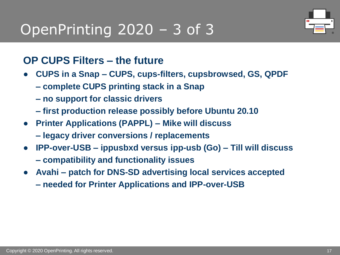# OpenPrinting 2020 – 3 of 3



#### **OP CUPS Filters – the future**

- **CUPS in a Snap – CUPS, cups-filters, cupsbrowsed, GS, QPDF** 
	- **– complete CUPS printing stack in a Snap**
	- **– no support for classic drivers**
	- **– first production release possibly before Ubuntu 20.10**
- **Printer Applications (PAPPL) – Mike will discuss** 
	- **– legacy driver conversions / replacements**
- **IPP-over-USB – ippusbxd versus ipp-usb (Go) – Till will discuss – compatibility and functionality issues**
- **Avahi – patch for DNS-SD advertising local services accepted** 
	- **– needed for Printer Applications and IPP-over-USB**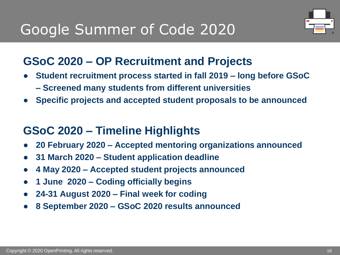# Google Summer of Code 2020



### **GSoC 2020 – OP Recruitment and Projects**

- **Student recruitment process started in fall 2019 – long before GSoC**
	- **– Screened many students from different universities**
- **Specific projects and accepted student proposals to be announced**

### **GSoC 2020 – Timeline Highlights**

- **20 February 2020 – Accepted mentoring organizations announced**
- **31 March 2020 – Student application deadline**
- **4 May 2020 – Accepted student projects announced**
- **1 June 2020 – Coding officially begins**
- **24-31 August 2020 – Final week for coding**
- **8 September 2020 – GSoC 2020 results announced**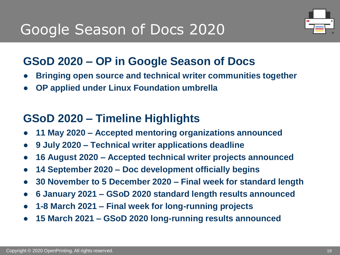# Google Season of Docs 2020



### **GSoD 2020 – OP in Google Season of Docs**

- **Bringing open source and technical writer communities together**
- **OP applied under Linux Foundation umbrella**

### **GSoD 2020 – Timeline Highlights**

- **11 May 2020 – Accepted mentoring organizations announced**
- **9 July 2020 – Technical writer applications deadline**
- **16 August 2020 – Accepted technical writer projects announced**
- **14 September 2020 – Doc development officially begins**
- **30 November to 5 December 2020 – Final week for standard length**
- **6 January 2021 – GSoD 2020 standard length results announced**
- **1-8 March 2021 – Final week for long-running projects**
- **15 March 2021 – GSoD 2020 long-running results announced**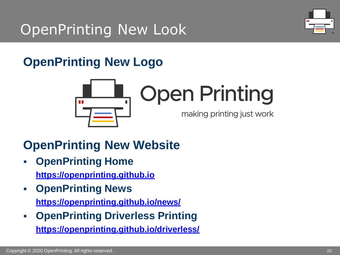# OpenPrinting New Look



### **OpenPrinting New Logo**



### **OpenPrinting New Website**

- **OpenPrinting Home [https://openprinting.github.io](https://openprinting.github.io/)**
- **OpenPrinting News**

**<https://openprinting.github.io/news/>**

▪ **OpenPrinting Driverless Printing <https://openprinting.github.io/driverless/>**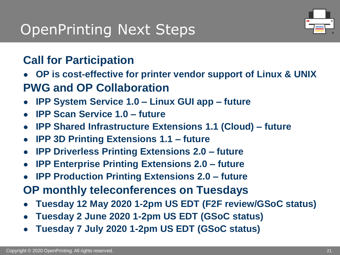### OpenPrinting Next Steps



### **Call for Participation**

- **OP is cost-effective for printer vendor support of Linux & UNIX PWG and OP Collaboration**
- **IPP System Service 1.0 – Linux GUI app – future**
- **IPP Scan Service 1.0 – future**
- **IPP Shared Infrastructure Extensions 1.1 (Cloud) – future**
- **IPP 3D Printing Extensions 1.1 – future**
- **IPP Driverless Printing Extensions 2.0 – future**
- **IPP Enterprise Printing Extensions 2.0 – future**
- **IPP Production Printing Extensions 2.0 future**
- **OP monthly teleconferences on Tuesdays**
- **Tuesday 12 May 2020 1-2pm US EDT (F2F review/GSoC status)**
- **Tuesday 2 June 2020 1-2pm US EDT (GSoC status)**
- **Tuesday 7 July 2020 1-2pm US EDT (GSoC status)**